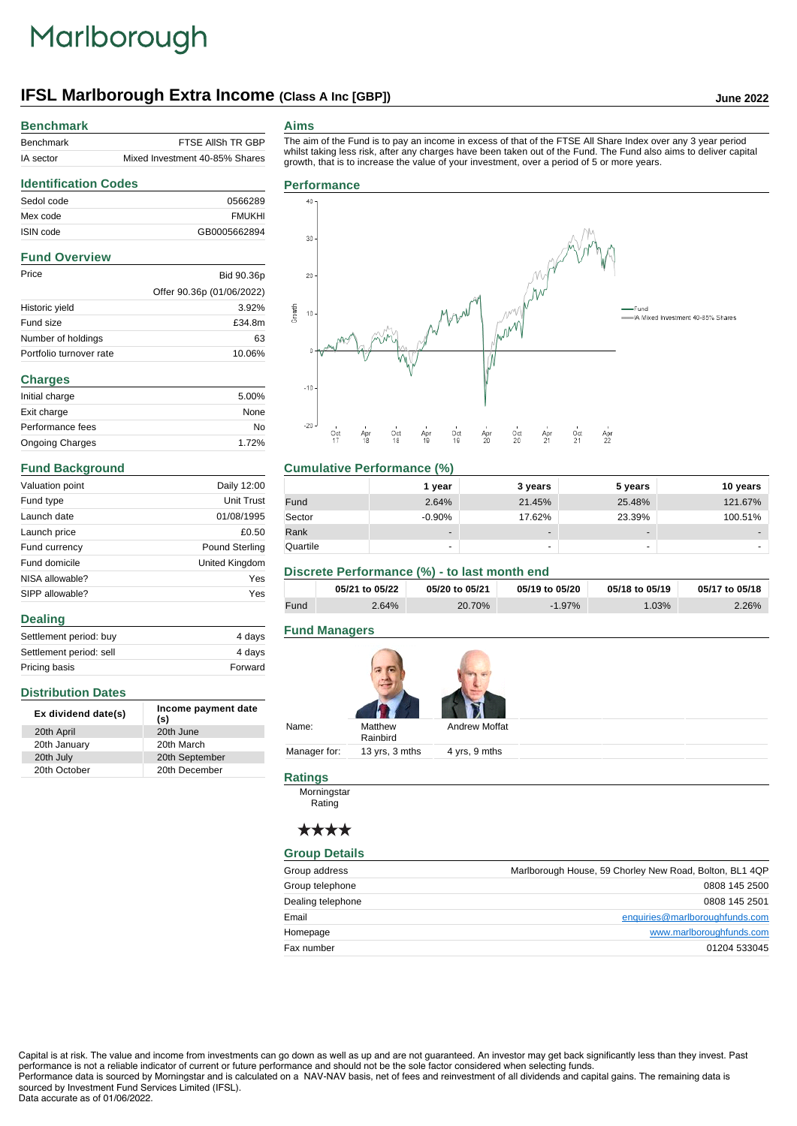# Marlborough

# **IFSL Marlborough Extra Income (Class A Inc [GBP]) June 2022**

#### **Benchmark**

| Benchmark | FTSE AIISH TR GBP              |
|-----------|--------------------------------|
| IA sector | Mixed Investment 40-85% Shares |

The aim of the Fund is to pay an income in excess of that of the FTSE All Share Index over any 3 year period whilst taking less risk, after any charges have been taken out of the Fund. The Fund also aims to deliver capital growth, that is to increase the value of your investment, over a period of 5 or more years.

## **Identification Codes** Sedol code 0566289 Mex code FMUKHI ISIN code GB0005662894

#### **Fund Overview**

| Price                   | Bid 90.36p                |
|-------------------------|---------------------------|
|                         | Offer 90.36p (01/06/2022) |
| Historic yield          | 3.92%                     |
| Fund size               | £34.8m                    |
| Number of holdings      | 63                        |
| Portfolio turnover rate | 10 06%                    |

| <b>Charges</b>         |       |  |
|------------------------|-------|--|
| Initial charge         | 5.00% |  |
| Exit charge            | None  |  |
| Performance fees       | No    |  |
| <b>Ongoing Charges</b> | 1.72% |  |

#### **Fund Background**

**Distribution Dates**

**Dealing**

| Valuation point | Daily 12:00           |
|-----------------|-----------------------|
| Fund type       | Unit Trust            |
| Launch date     | 01/08/1995            |
| Launch price    | £0.50                 |
| Fund currency   | <b>Pound Sterling</b> |
| Fund domicile   | United Kingdom        |
| NISA allowable? | Yes                   |
| SIPP allowable? | Yes                   |

Settlement period: buy 4 days Settlement period: sell 4 days Pricing basis **Forward** 

**Ex dividend date(s) Income payment date (s)**

20th December

20th April 20th June 20th January 20th March 20th July 20th September<br>20th October 20th December

#### **Aims**

#### **Performance**



#### **Cumulative Performance (%)**

|          | 1 year                   | 3 years                  | 5 years                  | 10 years |
|----------|--------------------------|--------------------------|--------------------------|----------|
| Fund     | 2.64%                    | 21.45%                   | 25.48%                   | 121.67%  |
| Sector   | $-0.90%$                 | 17.62%                   | 23.39%                   | 100.51%  |
| Rank     | $\overline{\phantom{a}}$ | $\overline{\phantom{0}}$ | $\overline{\phantom{a}}$ |          |
| Quartile | $\overline{\phantom{0}}$ | $\overline{\phantom{0}}$ |                          |          |

#### **Discrete Performance (%) - to last month end**

|      | 05/21 to 05/22 | 05/20 to 05/21 | 05/19 to 05/20 | 05/18 to 05/19 | 05/17 to 05/18 |
|------|----------------|----------------|----------------|----------------|----------------|
| Fund | $2.64\%$       | 20.70%         | $-1.97%$       | .03%           | 2.26%          |

#### **Fund Managers**

| Name:        | Matthew<br>Rainbird | Andrew Moffat |
|--------------|---------------------|---------------|
| Manager for: | 13 yrs, 3 mths      | 4 yrs, 9 mths |

#### **Ratings**

Morningstar **Rating** 

### \*\*\*\*

#### **Group Details**

| Group address     | Marlborough House, 59 Chorley New Road, Bolton, BL1 4QP |
|-------------------|---------------------------------------------------------|
| Group telephone   | 0808 145 2500                                           |
| Dealing telephone | 0808 145 2501                                           |
| Email             | enquiries@marlboroughfunds.com                          |
| Homepage          | www.marlboroughfunds.com                                |
| Fax number        | 01204 533045                                            |

Capital is at risk. The value and income from investments can go down as well as up and are not guaranteed. An investor may get back significantly less than they invest. Past performance is not a reliable indicator of current or future performance and should not be the sole factor considered when selecting funds. Performance data is sourced by Morningstar and is calculated on a NAV-NAV basis, net of fees and reinvestment of all dividends and capital gains. The remaining data is

Data accurate as of 01/06/2022.

### sourced by Investment Fund Services Limited (IFSL).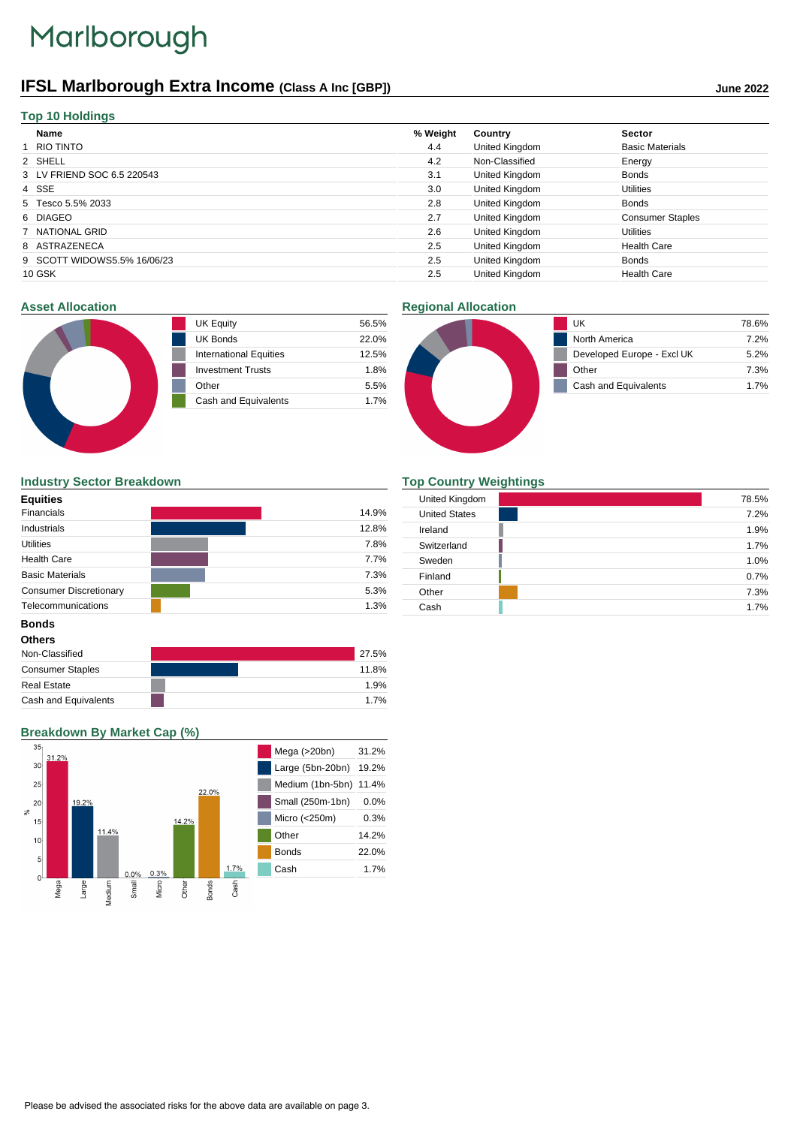# Marlborough

# **IFSL Marlborough Extra Income (Class A Inc [GBP]) June 2022**

| Name                        | % Weight | Country        | <b>Sector</b>           |
|-----------------------------|----------|----------------|-------------------------|
| 1 RIO TINTO                 | 4.4      | United Kingdom | <b>Basic Materials</b>  |
| 2 SHELL                     | 4.2      | Non-Classified | Energy                  |
| 3 LV FRIEND SOC 6.5 220543  | 3.1      | United Kingdom | <b>Bonds</b>            |
| 4 SSE                       | 3.0      | United Kingdom | <b>Utilities</b>        |
| 5 Tesco 5.5% 2033           | 2.8      | United Kingdom | <b>Bonds</b>            |
| 6 DIAGEO                    | 2.7      | United Kingdom | <b>Consumer Staples</b> |
| 7 NATIONAL GRID             | 2.6      | United Kingdom | <b>Utilities</b>        |
| 8 ASTRAZENECA               | 2.5      | United Kingdom | <b>Health Care</b>      |
| 9 SCOTT WIDOWS5.5% 16/06/23 | 2.5      | United Kingdom | <b>Bonds</b>            |
| 10 GSK                      | 2.5      | United Kingdom | <b>Health Care</b>      |

#### **Asset Allocation**

| <b>UK Equity</b>              | 56.5% |
|-------------------------------|-------|
| <b>UK Bonds</b>               | 22.0% |
| <b>International Equities</b> | 12.5% |
| <b>Investment Trusts</b>      | 1.8%  |
| Other                         | 5.5%  |
| Cash and Equivalents          | 17%   |
|                               |       |

#### **Regional Allocation**



#### **Industry Sector Breakdown**

| <b>Equities</b>               |       |
|-------------------------------|-------|
| <b>Financials</b>             | 14.9% |
| Industrials                   | 12.8% |
| <b>Utilities</b>              | 7.8%  |
| <b>Health Care</b>            | 7.7%  |
| <b>Basic Materials</b>        | 7.3%  |
| <b>Consumer Discretionary</b> | 5.3%  |
| Telecommunications            | 1.3%  |

#### **Top Country Weightings**

| United Kingdom       | 78.5% |
|----------------------|-------|
| <b>United States</b> | 7.2%  |
| Ireland              | 1.9%  |
| Switzerland          | 1.7%  |
| Sweden               | 1.0%  |
| Finland              | 0.7%  |
| Other                | 7.3%  |
| Cash                 | 1.7%  |

### **Bonds**

| <b>Others</b>           |       |
|-------------------------|-------|
| Non-Classified          | 27.5% |
| <b>Consumer Staples</b> | 11.8% |
| <b>Real Estate</b>      | 1.9%  |
| Cash and Equivalents    | 1.7%  |

#### **Breakdown By Market Cap (%)**